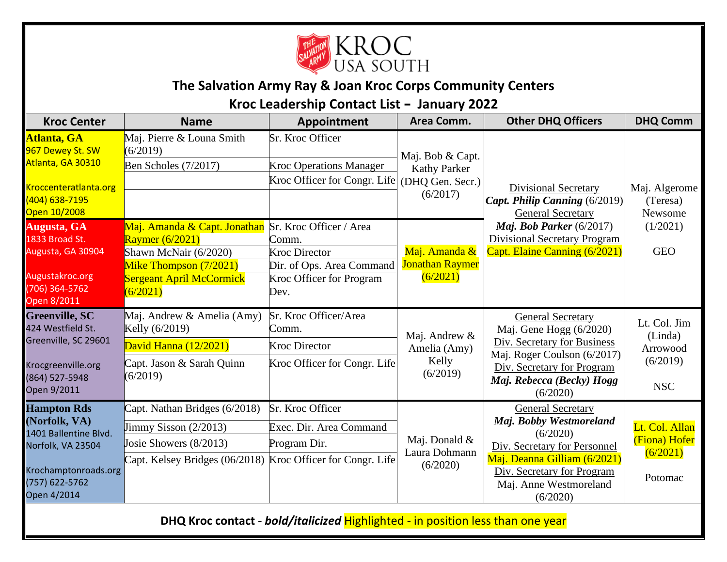

## **The Salvation Army Ray & Joan Kroc Corps Community Centers**

## **Kroc Leadership Contact List – January 2022**

| <b>Kroc Center</b>                                                                                                                         | <b>Name</b>                                                                                                                                       | Appointment                                                                                                               | Area Comm.                                                              | <b>Other DHQ Officers</b>                                                                                                                                                                           | <b>DHQ Comm</b>                      |  |  |  |
|--------------------------------------------------------------------------------------------------------------------------------------------|---------------------------------------------------------------------------------------------------------------------------------------------------|---------------------------------------------------------------------------------------------------------------------------|-------------------------------------------------------------------------|-----------------------------------------------------------------------------------------------------------------------------------------------------------------------------------------------------|--------------------------------------|--|--|--|
| Atlanta, GA<br>967 Dewey St. SW<br>Atlanta, GA 30310<br>Kroccenteratlanta.org<br>(404) 638-7195<br>Open 10/2008                            | Maj. Pierre & Louna Smith<br>(6/2019)                                                                                                             | Sr. Kroc Officer                                                                                                          | Maj. Bob & Capt.<br><b>Kathy Parker</b><br>(DHQ Gen. Secr.)<br>(6/2017) | <b>Divisional Secretary</b><br>Capt. Philip Canning (6/2019)<br><b>General Secretary</b>                                                                                                            |                                      |  |  |  |
|                                                                                                                                            | Ben Scholes (7/2017)                                                                                                                              | <b>Kroc Operations Manager</b><br>Kroc Officer for Congr. Life                                                            |                                                                         |                                                                                                                                                                                                     | Maj. Algerome<br>(Teresa)<br>Newsome |  |  |  |
|                                                                                                                                            |                                                                                                                                                   |                                                                                                                           |                                                                         |                                                                                                                                                                                                     |                                      |  |  |  |
| Augusta, GA<br>1833 Broad St.<br>Augusta, GA 30904<br>Augustakroc.org<br>706) 364-5762<br>Open 8/2011                                      | Maj. Amanda & Capt. Jonathan<br>Raymer (6/2021)<br>Shawn McNair (6/2020)<br>Mike Thompson (7/2021)<br><b>Sergeant April McCormick</b><br>(6/2021) | Sr. Kroc Officer / Area<br>Comm.<br><b>Kroc Director</b><br>Dir. of Ops. Area Command<br>Kroc Officer for Program<br>Dev. | Maj. Amanda &<br><b>Jonathan Raymer</b><br>(6/2021)                     | Maj. Bob Parker (6/2017)<br><b>Divisional Secretary Program</b><br>Capt. Elaine Canning (6/2021)                                                                                                    | (1/2021)<br><b>GEO</b>               |  |  |  |
| <b>Greenville, SC</b><br>424 Westfield St.<br>Greenville, SC 29601                                                                         | Maj. Andrew & Amelia (Amy)<br>Kelly (6/2019)<br>David Hanna (12/2021)                                                                             | Sr. Kroc Officer/Area<br>Comm.<br><b>Kroc Director</b>                                                                    | Maj. Andrew &<br>Amelia (Amy)                                           | <b>General Secretary</b><br>Maj. Gene Hogg (6/2020)<br>Div. Secretary for Business                                                                                                                  | Lt. Col. Jim<br>(Linda)<br>Arrowood  |  |  |  |
| Krocgreenville.org<br>(864) 527-5948<br>Open 9/2011                                                                                        | Capt. Jason & Sarah Quinn<br>(6/2019)                                                                                                             | Kroc Officer for Congr. Life                                                                                              | Kelly<br>(6/2019)                                                       | Maj. Roger Coulson (6/2017)<br>Div. Secretary for Program<br>Maj. Rebecca (Becky) Hogg<br>(6/2020)                                                                                                  | (6/2019)<br><b>NSC</b>               |  |  |  |
| <b>Hampton Rds</b><br>(Norfolk, VA)<br>1401 Ballentine Blvd.<br>Norfolk, VA 23504<br>Krochamptonroads.org<br>(757) 622-5762<br>Open 4/2014 | Capt. Nathan Bridges (6/2018)                                                                                                                     | Sr. Kroc Officer                                                                                                          | Maj. Donald &<br>Laura Dohmann<br>(6/2020)                              | <b>General Secretary</b><br>Maj. Bobby Westmoreland<br>(6/2020)<br>Div. Secretary for Personnel<br>Maj. Deanna Gilliam (6/2021)<br>Div. Secretary for Program<br>Maj. Anne Westmoreland<br>(6/2020) |                                      |  |  |  |
|                                                                                                                                            | $\text{Jimmy Sisson} (2/2013)$                                                                                                                    | Exec. Dir. Area Command                                                                                                   |                                                                         |                                                                                                                                                                                                     | Lt. Col. Allan                       |  |  |  |
|                                                                                                                                            | Josie Showers (8/2013)                                                                                                                            | Program Dir.                                                                                                              |                                                                         |                                                                                                                                                                                                     | (Fiona) Hofer<br>(6/2021)            |  |  |  |
|                                                                                                                                            | Capt. Kelsey Bridges (06/2018) Kroc Officer for Congr. Life                                                                                       |                                                                                                                           |                                                                         |                                                                                                                                                                                                     | Potomac                              |  |  |  |
| DHQ Kroc contact - bold/italicized Highlighted - in position less than one year                                                            |                                                                                                                                                   |                                                                                                                           |                                                                         |                                                                                                                                                                                                     |                                      |  |  |  |